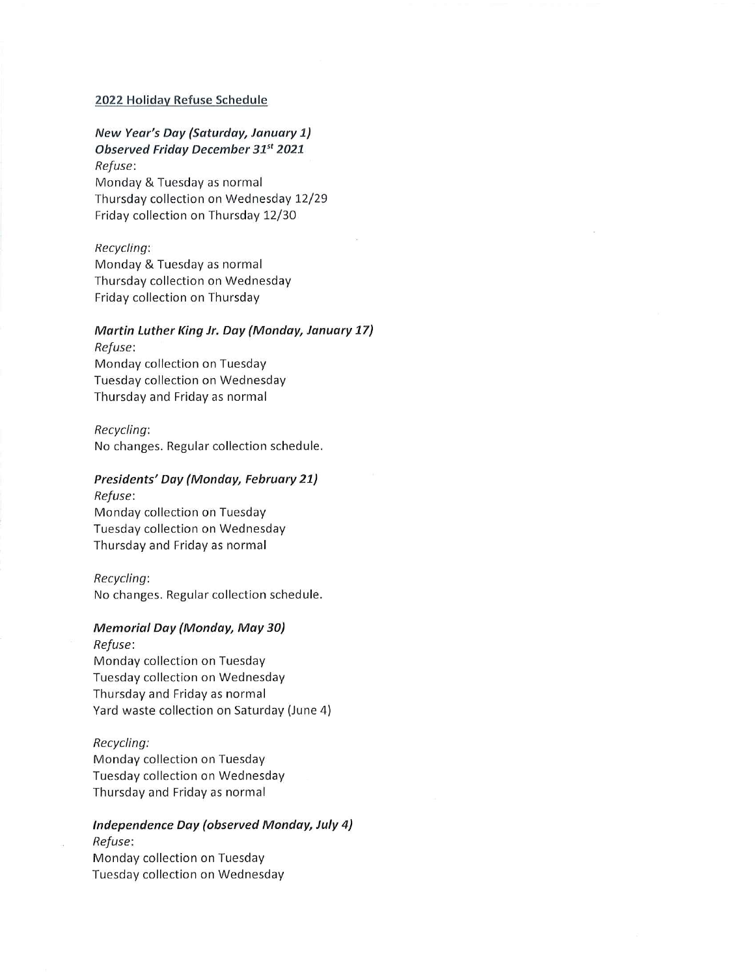### 2022 Holiday Refuse Schedule

New Year's Day (Saturday, January 1) Observed Friday December 31st 2021 Refuse: Monday & Tuesday as normal Thursday collection on Wednesday 12/29 Friday collection on Thursday 12/30

### Recycling:

Monday & Tuesday as normal Thursday collection on Wednesday Friday collection on Thursday

### Martin Luther King Jr. Day (Monday, January 17) Refuse:

Monday collection on Tuesday Tuesday collection on Wednesday Thursday and Friday as normal

#### Recycling:

No changes. Regular collection schedule.

# Presidents' Day (Monday, February 21)

Refuse: Monday collection on Tuesday Tuesday collection on Wednesday Thursday and Friday as normal

### Recycling:

No changes. Regular collection schedule.

### Memorial Day (Monday, May 30}

Refuse: Monday collection on Tuesday Tuesday collection on Wednesday Thursday and Friday as normal Yard waste collection on Saturday (June 4)

### Recycling:

Monday collection on Tuesday Tuesday collection on Wednesday Thursday and Friday as normal

# Independence Day (observed Monday, July 4} Refuse: Monday collection on Tuesday

Tuesday collection on Wednesday